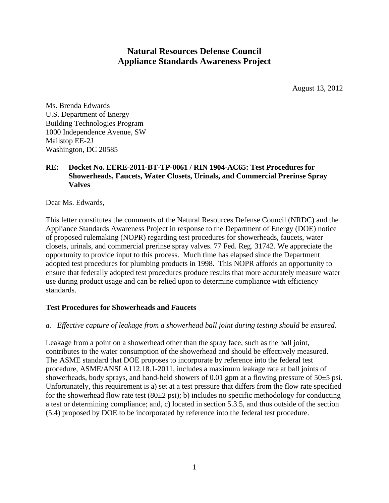# **Natural Resources Defense Council Appliance Standards Awareness Project**

August 13, 2012

Ms. Brenda Edwards U.S. Department of Energy Building Technologies Program 1000 Independence Avenue, SW Mailstop EE-2J Washington, DC 20585

# **RE: Docket No. EERE-2011-BT-TP-0061 / RIN 1904-AC65: Test Procedures for Showerheads, Faucets, Water Closets, Urinals, and Commercial Prerinse Spray Valves**

Dear Ms. Edwards,

This letter constitutes the comments of the Natural Resources Defense Council (NRDC) and the Appliance Standards Awareness Project in response to the Department of Energy (DOE) notice of proposed rulemaking (NOPR) regarding test procedures for showerheads, faucets, water closets, urinals, and commercial prerinse spray valves. 77 Fed. Reg. 31742. We appreciate the opportunity to provide input to this process. Much time has elapsed since the Department adopted test procedures for plumbing products in 1998. This NOPR affords an opportunity to ensure that federally adopted test procedures produce results that more accurately measure water use during product usage and can be relied upon to determine compliance with efficiency standards.

# **Test Procedures for Showerheads and Faucets**

#### *a. Effective capture of leakage from a showerhead ball joint during testing should be ensured.*

Leakage from a point on a showerhead other than the spray face, such as the ball joint, contributes to the water consumption of the showerhead and should be effectively measured. The ASME standard that DOE proposes to incorporate by reference into the federal test procedure, ASME/ANSI A112.18.1-2011, includes a maximum leakage rate at ball joints of showerheads, body sprays, and hand-held showers of 0.01 gpm at a flowing pressure of 50±5 psi. Unfortunately, this requirement is a) set at a test pressure that differs from the flow rate specified for the showerhead flow rate test  $(80\pm 2 \text{ psi})$ ; b) includes no specific methodology for conducting a test or determining compliance; and, c) located in section 5.3.5, and thus outside of the section (5.4) proposed by DOE to be incorporated by reference into the federal test procedure.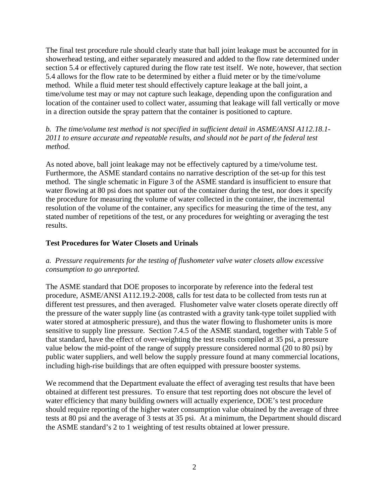The final test procedure rule should clearly state that ball joint leakage must be accounted for in showerhead testing, and either separately measured and added to the flow rate determined under section 5.4 or effectively captured during the flow rate test itself. We note, however, that section 5.4 allows for the flow rate to be determined by either a fluid meter or by the time/volume method. While a fluid meter test should effectively capture leakage at the ball joint, a time/volume test may or may not capture such leakage, depending upon the configuration and location of the container used to collect water, assuming that leakage will fall vertically or move in a direction outside the spray pattern that the container is positioned to capture.

*b. The time/volume test method is not specified in sufficient detail in ASME/ANSI A112.18.1- 2011 to ensure accurate and repeatable results, and should not be part of the federal test method.* 

As noted above, ball joint leakage may not be effectively captured by a time/volume test. Furthermore, the ASME standard contains no narrative description of the set-up for this test method. The single schematic in Figure 3 of the ASME standard is insufficient to ensure that water flowing at 80 psi does not spatter out of the container during the test, nor does it specify the procedure for measuring the volume of water collected in the container, the incremental resolution of the volume of the container, any specifics for measuring the time of the test, any stated number of repetitions of the test, or any procedures for weighting or averaging the test results.

#### **Test Procedures for Water Closets and Urinals**

# *a. Pressure requirements for the testing of flushometer valve water closets allow excessive consumption to go unreported.*

The ASME standard that DOE proposes to incorporate by reference into the federal test procedure, ASME/ANSI A112.19.2-2008, calls for test data to be collected from tests run at different test pressures, and then averaged. Flushometer valve water closets operate directly off the pressure of the water supply line (as contrasted with a gravity tank-type toilet supplied with water stored at atmospheric pressure), and thus the water flowing to flushometer units is more sensitive to supply line pressure. Section 7.4.5 of the ASME standard, together with Table 5 of that standard, have the effect of over-weighting the test results compiled at 35 psi, a pressure value below the mid-point of the range of supply pressure considered normal (20 to 80 psi) by public water suppliers, and well below the supply pressure found at many commercial locations, including high-rise buildings that are often equipped with pressure booster systems.

We recommend that the Department evaluate the effect of averaging test results that have been obtained at different test pressures. To ensure that test reporting does not obscure the level of water efficiency that many building owners will actually experience, DOE's test procedure should require reporting of the higher water consumption value obtained by the average of three tests at 80 psi and the average of 3 tests at 35 psi. At a minimum, the Department should discard the ASME standard's 2 to 1 weighting of test results obtained at lower pressure.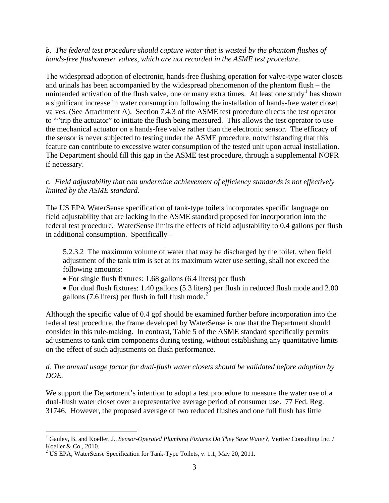#### *b. The federal test procedure should capture water that is wasted by the phantom flushes of hands-free flushometer valves, which are not recorded in the ASME test procedure.*

The widespread adoption of electronic, hands-free flushing operation for valve-type water closets and urinals has been accompanied by the widespread phenomenon of the phantom flush – the unintended activation of the flush valve, one or many extra times. At least one study<sup>[1](#page-2-0)</sup> has shown a significant increase in water consumption following the installation of hands-free water closet valves. (See Attachment A). Section 7.4.3 of the ASME test procedure directs the test operator to ""trip the actuator" to initiate the flush being measured. This allows the test operator to use the mechanical actuator on a hands-free valve rather than the electronic sensor. The efficacy of the sensor is never subjected to testing under the ASME procedure, notwithstanding that this feature can contribute to excessive water consumption of the tested unit upon actual installation. The Department should fill this gap in the ASME test procedure, through a supplemental NOPR if necessary.

#### *c. Field adjustability that can undermine achievement of efficiency standards is not effectively limited by the ASME standard.*

The US EPA WaterSense specification of tank-type toilets incorporates specific language on field adjustability that are lacking in the ASME standard proposed for incorporation into the federal test procedure. WaterSense limits the effects of field adjustability to 0.4 gallons per flush in additional consumption. Specifically –

5.2.3.2 The maximum volume of water that may be discharged by the toilet, when field adjustment of the tank trim is set at its maximum water use setting, shall not exceed the following amounts:

- For single flush fixtures: 1.68 gallons (6.4 liters) per flush
- For dual flush fixtures: 1.40 gallons (5.3 liters) per flush in reduced flush mode and 2.00 gallons (7.6 liters) per flush in full flush mode. $2^{7}$  $2^{7}$

Although the specific value of 0.4 gpf should be examined further before incorporation into the federal test procedure, the frame developed by WaterSense is one that the Department should consider in this rule-making. In contrast, Table 5 of the ASME standard specifically permits adjustments to tank trim components during testing, without establishing any quantitative limits on the effect of such adjustments on flush performance.

# *d. The annual usage factor for dual-flush water closets should be validated before adoption by DOE.*

We support the Department's intention to adopt a test procedure to measure the water use of a dual-flush water closet over a representative average period of consumer use. 77 Fed. Reg. 31746. However, the proposed average of two reduced flushes and one full flush has little

<span id="page-2-0"></span> $\overline{a}$ <sup>1</sup> Gauley, B. and Koeller, J., *Sensor-Operated Plumbing Fixtures Do They Save Water?*, Veritec Consulting Inc. / Koeller & Co., 2010.

<span id="page-2-1"></span><sup>&</sup>lt;sup>2</sup> US EPA, WaterSense Specification for Tank-Type Toilets, v. 1.1, May 20, 2011.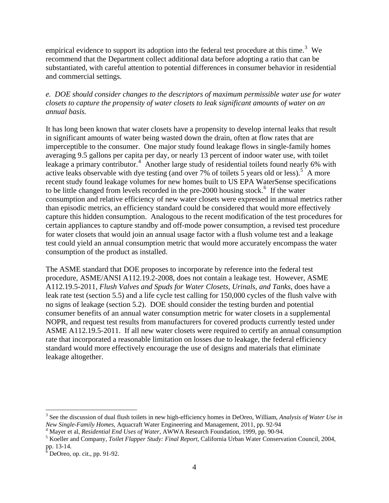empirical evidence to support its adoption into the federal test procedure at this time.<sup>[3](#page-3-0)</sup> We recommend that the Department collect additional data before adopting a ratio that can be substantiated, with careful attention to potential differences in consumer behavior in residential and commercial settings.

#### *e. DOE should consider changes to the descriptors of maximum permissible water use for water closets to capture the propensity of water closets to leak significant amounts of water on an annual basis.*

It has long been known that water closets have a propensity to develop internal leaks that result in significant amounts of water being wasted down the drain, often at flow rates that are imperceptible to the consumer. One major study found leakage flows in single-family homes averaging 9.5 gallons per capita per day, or nearly 13 percent of indoor water use, with toilet leakage a primary contributor.<sup>[4](#page-3-1)</sup> Another large study of residential toilets found nearly 6% with active leaks observable with dye testing (and over 7% of toilets [5](#page-3-2) years old or less).<sup>5</sup> A more recent study found leakage volumes for new homes built to US EPA WaterSense specifications to be little changed from levels recorded in the pre-2000 housing stock.<sup>[6](#page-3-3)</sup> If the water consumption and relative efficiency of new water closets were expressed in annual metrics rather than episodic metrics, an efficiency standard could be considered that would more effectively capture this hidden consumption. Analogous to the recent modification of the test procedures for certain appliances to capture standby and off-mode power consumption, a revised test procedure for water closets that would join an annual usage factor with a flush volume test and a leakage test could yield an annual consumption metric that would more accurately encompass the water consumption of the product as installed.

The ASME standard that DOE proposes to incorporate by reference into the federal test procedure, ASME/ANSI A112.19.2-2008, does not contain a leakage test. However, ASME A112.19.5-2011, *Flush Valves and Spuds for Water Closets, Urinals, and Tanks*, does have a leak rate test (section 5.5) and a life cycle test calling for 150,000 cycles of the flush valve with no signs of leakage (section 5.2). DOE should consider the testing burden and potential consumer benefits of an annual water consumption metric for water closets in a supplemental NOPR, and request test results from manufacturers for covered products currently tested under ASME A112.19.5-2011. If all new water closets were required to certify an annual consumption rate that incorporated a reasonable limitation on losses due to leakage, the federal efficiency standard would more effectively encourage the use of designs and materials that eliminate leakage altogether.

 $\overline{a}$ 

<span id="page-3-0"></span><sup>3</sup> See the discussion of dual flush toilets in new high-efficiency homes in DeOreo, William, *Analysis of Water Use in New Single-Family Homes*, Aquacraft Water Engineering and Management, 2011, pp. 92-94

<span id="page-3-1"></span><sup>&</sup>lt;sup>4</sup> Mayer et al, *Residential End Uses of Water*, AWWA Research Foundation, 1999, pp. 90-94.

<span id="page-3-2"></span><sup>&</sup>lt;sup>5</sup> Koeller and Company, *Toilet Flapper Study: Final Report*, California Urban Water Conservation Council, 2004, pp. 13-14.

<span id="page-3-3"></span> $<sup>5</sup>$  DeOreo, op. cit., pp. 91-92.</sup>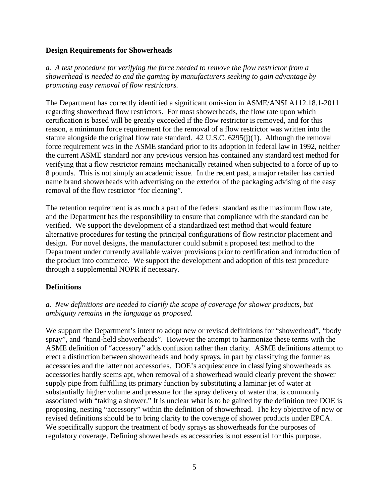#### **Design Requirements for Showerheads**

*a. A test procedure for verifying the force needed to remove the flow restrictor from a showerhead is needed to end the gaming by manufacturers seeking to gain advantage by promoting easy removal of flow restrictors.* 

The Department has correctly identified a significant omission in ASME/ANSI A112.18.1-2011 regarding showerhead flow restrictors. For most showerheads, the flow rate upon which certification is based will be greatly exceeded if the flow restrictor is removed, and for this reason, a minimum force requirement for the removal of a flow restrictor was written into the statute alongside the original flow rate standard. 42 U.S.C. 6295(j)(1). Although the removal force requirement was in the ASME standard prior to its adoption in federal law in 1992, neither the current ASME standard nor any previous version has contained any standard test method for verifying that a flow restrictor remains mechanically retained when subjected to a force of up to 8 pounds. This is not simply an academic issue. In the recent past, a major retailer has carried name brand showerheads with advertising on the exterior of the packaging advising of the easy removal of the flow restrictor "for cleaning".

The retention requirement is as much a part of the federal standard as the maximum flow rate, and the Department has the responsibility to ensure that compliance with the standard can be verified. We support the development of a standardized test method that would feature alternative procedures for testing the principal configurations of flow restrictor placement and design. For novel designs, the manufacturer could submit a proposed test method to the Department under currently available waiver provisions prior to certification and introduction of the product into commerce. We support the development and adoption of this test procedure through a supplemental NOPR if necessary.

#### **Definitions**

# *a. New definitions are needed to clarify the scope of coverage for shower products, but ambiguity remains in the language as proposed.*

We support the Department's intent to adopt new or revised definitions for "showerhead", "body spray", and "hand-held showerheads". However the attempt to harmonize these terms with the ASME definition of "accessory" adds confusion rather than clarity. ASME definitions attempt to erect a distinction between showerheads and body sprays, in part by classifying the former as accessories and the latter not accessories. DOE's acquiescence in classifying showerheads as accessories hardly seems apt, when removal of a showerhead would clearly prevent the shower supply pipe from fulfilling its primary function by substituting a laminar jet of water at substantially higher volume and pressure for the spray delivery of water that is commonly associated with "taking a shower." It is unclear what is to be gained by the definition tree DOE is proposing, nesting "accessory" within the definition of showerhead. The key objective of new or revised definitions should be to bring clarity to the coverage of shower products under EPCA. We specifically support the treatment of body sprays as showerheads for the purposes of regulatory coverage. Defining showerheads as accessories is not essential for this purpose.